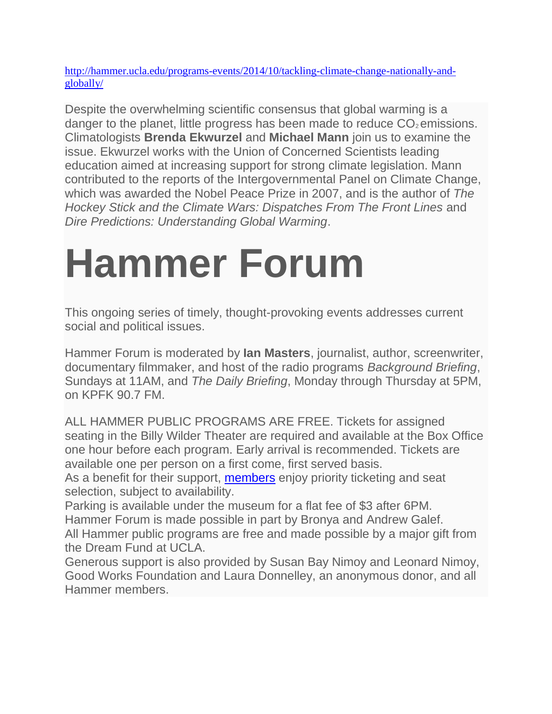[http://hammer.ucla.edu/programs-events/2014/10/tackling-climate-change-nationally-and](http://hammer.ucla.edu/programs-events/2014/10/tackling-climate-change-nationally-and-globally/)[globally/](http://hammer.ucla.edu/programs-events/2014/10/tackling-climate-change-nationally-and-globally/)

Despite the overwhelming scientific consensus that global warming is a danger to the planet, little progress has been made to reduce  $CO<sub>2</sub>$  emissions. Climatologists **Brenda Ekwurzel** and **Michael Mann** join us to examine the issue. Ekwurzel works with the Union of Concerned Scientists leading education aimed at increasing support for strong climate legislation. Mann contributed to the reports of the Intergovernmental Panel on Climate Change, which was awarded the Nobel Peace Prize in 2007, and is the author of *The Hockey Stick and the Climate Wars: Dispatches From The Front Lines* and *Dire Predictions: Understanding Global Warming*.

# **Hammer Forum**

This ongoing series of timely, thought-provoking events addresses current social and political issues.

Hammer Forum is moderated by **Ian Masters**, journalist, author, screenwriter, documentary filmmaker, and host of the radio programs *Background Briefing*, Sundays at 11AM, and *The Daily Briefing*, Monday through Thursday at 5PM, on KPFK 90.7 FM.

ALL HAMMER PUBLIC PROGRAMS ARE FREE. Tickets for assigned seating in the Billy Wilder Theater are required and available at the Box Office one hour before each program. Early arrival is recommended. Tickets are available one per person on a first come, first served basis.

As a benefit for their support, [members](http://hammer.ucla.edu/support/membership/) enjoy priority ticketing and seat selection, subject to availability.

Parking is available under the museum for a flat fee of \$3 after 6PM. Hammer Forum is made possible in part by Bronya and Andrew Galef.

All Hammer public programs are free and made possible by a major gift from the Dream Fund at UCLA.

Generous support is also provided by Susan Bay Nimoy and Leonard Nimoy, Good Works Foundation and Laura Donnelley, an anonymous donor, and all Hammer members.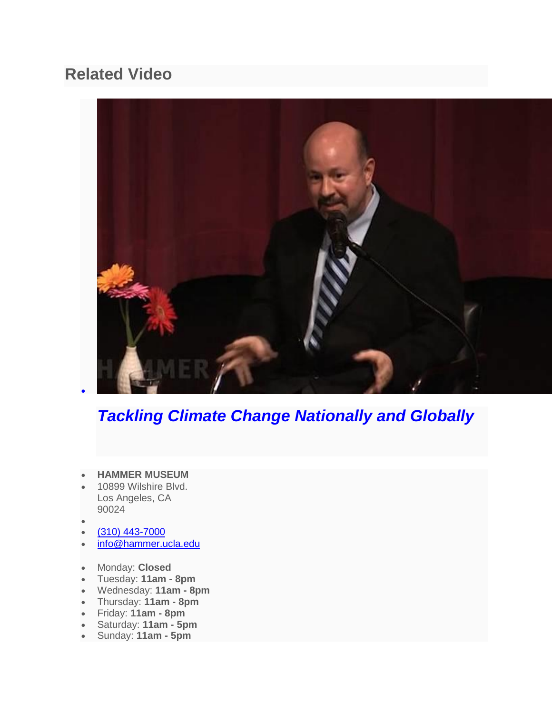## **Related Video**



# *[Tackling Climate Change Nationally and Globally](http://player.vimeo.com/video/109970801?color=ffffff&autoplay=true)*

- **HAMMER MUSEUM**
- 10899 Wilshire Blvd. Los Angeles, CA 90024
- $\bullet$

 $\bullet$ 

- $(310)$  443-7000
- [info@hammer.ucla.edu](mailto:info@hammer.ucla.edu)
- Monday: **Closed**
- Tuesday: **11am - 8pm**
- Wednesday: **11am - 8pm**
- Thursday: **11am - 8pm**
- Friday: **11am - 8pm**
- Saturday: **11am - 5pm**
- Sunday: **11am - 5pm**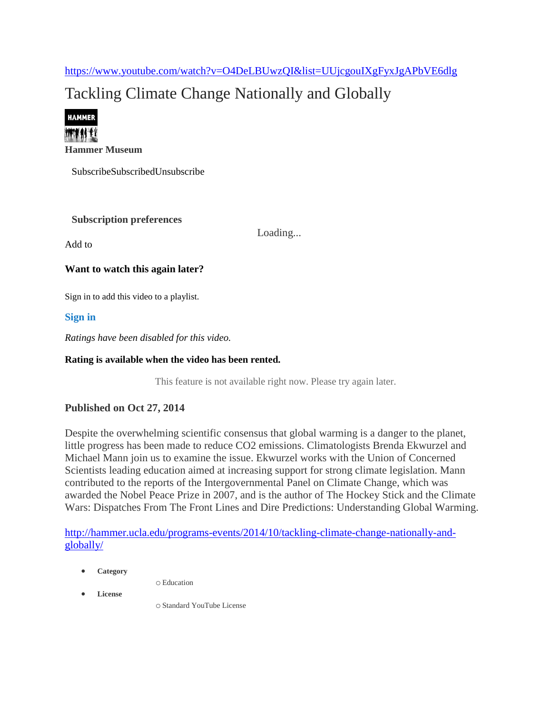<https://www.youtube.com/watch?v=O4DeLBUwzQI&list=UUjcgouIXgFyxJgAPbVE6dlg>

# Tackling Climate Change Nationally and Globally



**[Hammer Museum](https://www.youtube.com/channel/UCjcgouIXgFyxJgAPbVE6dlg)**

SubscribeSubscribedUnsubscribe

#### **Subscription preferences**

Add to

Loading...

#### **Want to watch this again later?**

Sign in to add this video to a playlist.

**[Sign](https://accounts.google.com/ServiceLogin?passive=true&continue=https%3A%2F%2Fwww.youtube.com%2Fsignin%3Ffeature%3D__FEATURE__%26next%3D%252Fwatch%253Fv%253DO4DeLBUwzQI%2526list%253DUUjcgouIXgFyxJgAPbVE6dlg%26hl%3Den%26app%3Ddesktop%26action_handle_signin%3Dtrue&hl=en&uilel=3&service=youtube) in**

*Ratings have been disabled for this video.*

#### **Rating is available when the video has been rented.**

This feature is not available right now. Please try again later.

#### **Published on Oct 27, 2014**

Despite the overwhelming scientific consensus that global warming is a danger to the planet, little progress has been made to reduce CO2 emissions. Climatologists Brenda Ekwurzel and Michael Mann join us to examine the issue. Ekwurzel works with the Union of Concerned Scientists leading education aimed at increasing support for strong climate legislation. Mann contributed to the reports of the Intergovernmental Panel on Climate Change, which was awarded the Nobel Peace Prize in 2007, and is the author of The Hockey Stick and the Climate Wars: Dispatches From The Front Lines and Dire Predictions: Understanding Global Warming.

[http://hammer.ucla.edu/programs-events/2014/10/tackling-climate-change-nationally-and](http://hammer.ucla.edu/programs-events/2014/10/tackling-climate-change-nationally-and-globally/)[globally/](http://hammer.ucla.edu/programs-events/2014/10/tackling-climate-change-nationally-and-globally/)

**Category** 

o [Education](https://www.youtube.com/education)

**License** 

o Standard YouTube License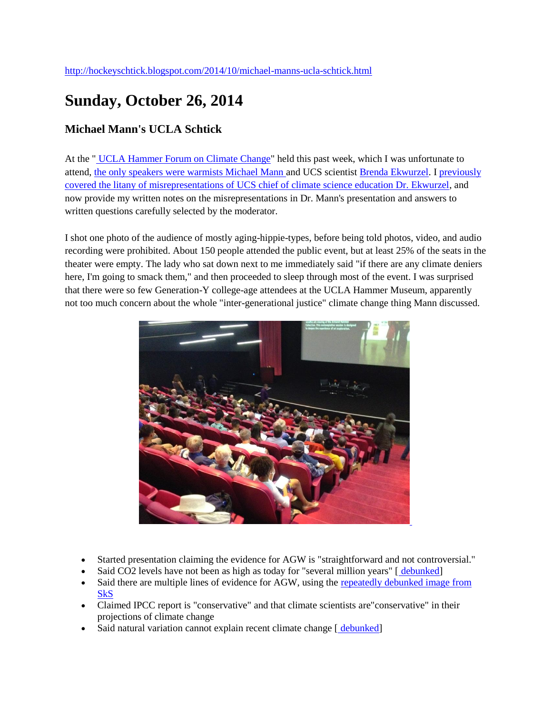## **Sunday, October 26, 2014**

#### **Michael Mann's UCLA Schtick**

At the " [UCLA Hammer Forum on Climate Change"](http://hammer.ucla.edu/programs-events/2014/10/tackling-climate-change-nationally-and-globally/) held this past week, which I was unfortunate to attend, [the only speakers were warmists Michael Mann a](http://wattsupwiththat.com/2014/10/23/weather-channel-founder-john-coleman-there-is-no-significant-man-made-global-warming-at-this-time/)nd UCS scientist [Brenda Ekwurzel.](http://www.ucsusa.org/about/staff/staff/brenda-ekwurzel.html#.VEndQCLF_f0) I [previously](http://hockeyschtick.blogspot.com/2014/10/ucs-climate-scientist-tells-litany-of.html)  [covered the litany of misrepresentations of UCS chief of climate science education Dr. Ekwurzel,](http://hockeyschtick.blogspot.com/2014/10/ucs-climate-scientist-tells-litany-of.html) and now provide my written notes on the misrepresentations in Dr. Mann's presentation and answers to written questions carefully selected by the moderator.

I shot one photo of the audience of mostly aging-hippie-types, before being told photos, video, and audio recording were prohibited. About 150 people attended the public event, but at least 25% of the seats in the theater were empty. The lady who sat down next to me immediately said "if there are any climate deniers here, I'm going to smack them," and then proceeded to sleep through most of the event. I was surprised that there were so few Generation-Y college-age attendees at the UCLA Hammer Museum, apparently not too much concern about the whole "inter-generational justice" climate change thing Mann discussed.



- Started presentation claiming the evidence for AGW is "straightforward and not controversial."
- Said CO2 levels have not been as high as today for "several million years" [[debunked\]](http://hockeyschtick.blogspot.com/2013/03/new-paper-finds-co2-levels-were-higher.html)
- Said there are multiple lines of evidence for AGW, using the [repeatedly debunked image from](http://www.skepticalscience.com/graphics/Warming_Indicators_1024.jpg)  [SkS](http://www.skepticalscience.com/graphics/Warming_Indicators_1024.jpg)
- Claimed IPCC report is "conservative" and that climate scientists are"conservative" in their projections of climate change
- Said natural variation cannot explain recent climate change [ [debunked\]](http://hockeyschtick.blogspot.com/search?q=curry+attribution)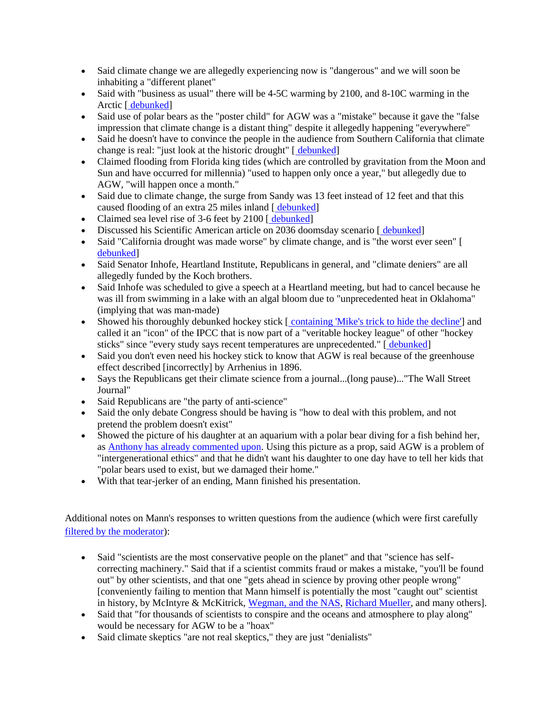- Said climate change we are allegedly experiencing now is "dangerous" and we will soon be inhabiting a "different planet"
- Said with "business as usual" there will be 4-5C warming by 2100, and 8-10C warming in the Arctic [ [debunked\]](http://hockeyschtick.blogspot.com/2013/12/observations-show-ipcc-exaggerates.html)
- Said use of polar bears as the "poster child" for AGW was a "mistake" because it gave the "false impression that climate change is a distant thing" despite it allegedly happening "everywhere"
- Said he doesn't have to convince the people in the audience from Southern California that climate change is real: "just look at the historic drought" [ [debunked\]](http://extras.mnginteractive.com/live/media/site568/2014/0127/20140127_031535_ssjm0126megadry90_500.jpg)
- Claimed flooding from Florida king tides (which are controlled by gravitation from the Moon and Sun and have occurred for millennia) "used to happen only once a year," but allegedly due to AGW, "will happen once a month."
- Said due to climate change, the surge from Sandy was 13 feet instead of 12 feet and that this caused flooding of an extra 25 miles inland [ [debunked\]](http://wattsupwiththat.com/2013/09/19/from-the-scientific-urban-legend-department-agw-sea-level-rise-made-sandy-more-destructive/)
- Claimed sea level rise of 3-6 feet by 2100 [ [debunked\]](http://hockeyschtick.blogspot.com/search?q=sea+level+7+inches)
- Discussed his Scientific American article on 2036 doomsday scenario [ [debunked\]](http://hockeyschtick.blogspot.com/2014/03/manns-latest-propaganda-global-warming.html)
- Said "California drought was made worse" by climate change, and is "the worst ever seen" [\[](http://extras.mnginteractive.com/live/media/site568/2014/0127/20140127_031535_ssjm0126megadry90_500.jpg) [debunked\]](http://extras.mnginteractive.com/live/media/site568/2014/0127/20140127_031535_ssjm0126megadry90_500.jpg)
- Said Senator Inhofe, Heartland Institute, Republicans in general, and "climate deniers" are all allegedly funded by the Koch brothers.
- Said Inhofe was scheduled to give a speech at a Heartland meeting, but had to cancel because he was ill from swimming in a lake with an algal bloom due to "unprecedented heat in Oklahoma" (implying that was man-made)
- Showed his thoroughly debunked hockey stick [[containing 'Mike's trick to hide the decline'\]](http://hockeyschtick.blogspot.com/search?q=mike%27s+trick+to+hide+the+decline) and called it an "icon" of the IPCC that is now part of a "veritable hockey league" of other "hockey sticks" since "every study says recent temperatures are unprecedented." [ [debunked\]](http://hockeyschtick.blogspot.com/search?q=rise+and+fall+hockey+stick)
- Said you don't even need his hockey stick to know that AGW is real because of the greenhouse effect described [incorrectly] by Arrhenius in 1896.
- Says the Republicans get their climate science from a journal...(long pause)..."The Wall Street Journal"
- Said Republicans are "the party of anti-science"
- Said the only debate Congress should be having is "how to deal with this problem, and not pretend the problem doesn't exist"
- Showed the picture of his daughter at an aquarium with a polar bear diving for a fish behind her, as [Anthony has already commented upon.](http://wattsupwiththat.com/2014/09/24/the-mann-talk-and-travel-day-open-thread/) Using this picture as a prop, said AGW is a problem of "intergenerational ethics" and that he didn't want his daughter to one day have to tell her kids that "polar bears used to exist, but we damaged their home."
- With that tear-jerker of an ending, Mann finished his presentation.

Additional notes on Mann's responses to written questions from the audience (which were first carefully [filtered by the moderator\)](http://junkscience.com/2014/10/24/exclusive-report-from-ucla-michael-mann-stunned-when-asked-about-nobel-prize-fakery/):

- Said "scientists are the most conservative people on the planet" and that "science has selfcorrecting machinery." Said that if a scientist commits fraud or makes a mistake, "you'll be found out" by other scientists, and that one "gets ahead in science by proving other people wrong" [conveniently failing to mention that Mann himself is potentially the most "caught out" scientist in history, by McIntyre & McKitrick, [Wegman, and the NAS,](http://hockeyschtick.blogspot.com/2011/09/there-he-goes-again-version-40-mann.html) [Richard Mueller,](https://www.youtube.com/watch?v=8BQpciw8suk) and many others].
- Said that "for thousands of scientists to conspire and the oceans and atmosphere to play along" would be necessary for AGW to be a "hoax"
- Said climate skeptics "are not real skeptics," they are just "denialists"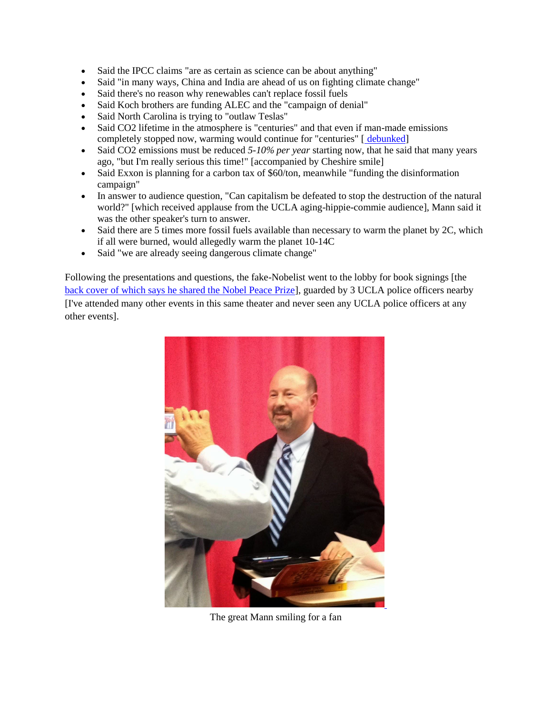- Said the IPCC claims "are as certain as science can be about anything"
- Said "in many ways, China and India are ahead of us on fighting climate change"
- Said there's no reason why renewables can't replace fossil fuels
- Said Koch brothers are funding ALEC and the "campaign of denial"
- Said North Carolina is trying to "outlaw Teslas"
- Said CO2 lifetime in the atmosphere is "centuries" and that even if man-made emissions completely stopped now, warming would continue for "centuries" [ [debunked\]](http://hockeyschtick.blogspot.com/2013/09/biochemistry-professor-explains-why.html)
- Said CO2 emissions must be reduced *5-10% per year* starting now, that he said that many years ago, "but I'm really serious this time!" [accompanied by Cheshire smile]
- Said Exxon is planning for a carbon tax of \$60/ton, meanwhile "funding the disinformation campaign"
- In answer to audience question, "Can capitalism be defeated to stop the destruction of the natural world?" [which received applause from the UCLA aging-hippie-commie audience], Mann said it was the other speaker's turn to answer.
- Said there are 5 times more fossil fuels available than necessary to warm the planet by 2C, which if all were burned, would allegedly warm the planet 10-14C
- Said "we are already seeing dangerous climate change"

Following the presentations and questions, the fake-Nobelist went to the lobby for book signings [the [back cover of which says he shared the Nobel Peace Prize\]](http://wattsupwiththat.com/2014/10/14/michael-mann-loses-the-nobel-prize-again/), guarded by 3 UCLA police officers nearby [I've attended many other events in this same theater and never seen any UCLA police officers at any other events].



The great Mann smiling for a fan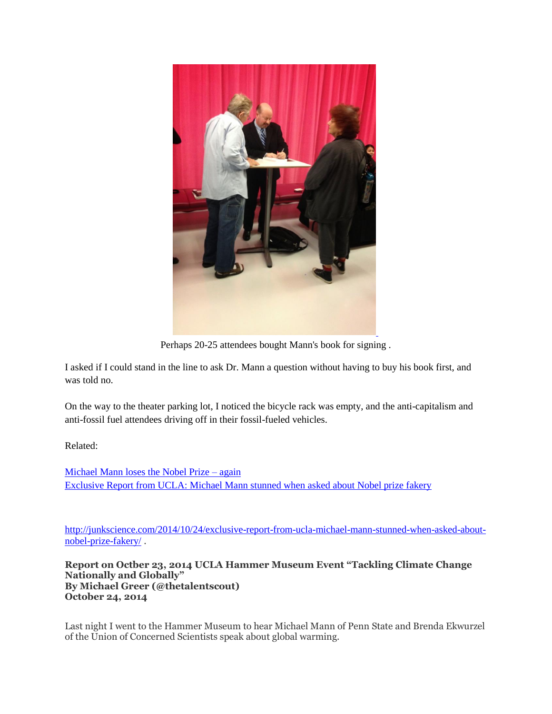

Perhaps 20-25 attendees bought Mann's book for signing .

I asked if I could stand in the line to ask Dr. Mann a question without having to buy his book first, and was told no.

On the way to the theater parking lot, I noticed the bicycle rack was empty, and the anti-capitalism and anti-fossil fuel attendees driving off in their fossil-fueled vehicles.

Related:

[Michael Mann loses the Nobel Prize –](http://wattsupwiththat.com/2014/10/14/michael-mann-loses-the-nobel-prize-again/) again [Exclusive Report from UCLA: Michael Mann stunned when asked about Nobel prize fakery](http://junkscience.com/20114/10/24/exclusive-report-from-ucla-michael-mann-stunned-when-asked-about-nobel-prize-fakery/)

[http://junkscience.com/2014/10/24/exclusive-report-from-ucla-michael-mann-stunned-when-asked-about](http://junkscience.com/2014/10/24/exclusive-report-from-ucla-michael-mann-stunned-when-asked-about-nobel-prize-fakery/)[nobel-prize-fakery/](http://junkscience.com/2014/10/24/exclusive-report-from-ucla-michael-mann-stunned-when-asked-about-nobel-prize-fakery/) .

**Report on Octber 23, 2014 UCLA Hammer Museum Event "Tackling Climate Change Nationally and Globally" By Michael Greer (@thetalentscout) October 24, 2014**

Last night I went to the Hammer Museum to hear Michael Mann of Penn State and Brenda Ekwurzel of the Union of Concerned Scientists speak about global warming.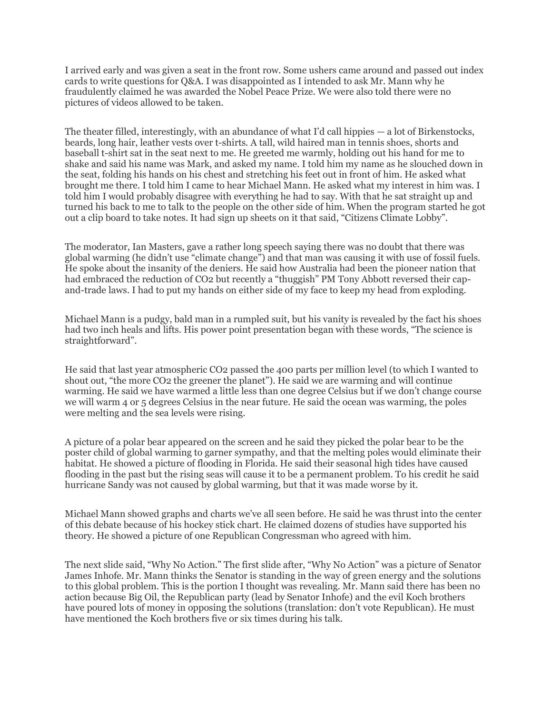I arrived early and was given a seat in the front row. Some ushers came around and passed out index cards to write questions for Q&A. I was disappointed as I intended to ask Mr. Mann why he fraudulently claimed he was awarded the Nobel Peace Prize. We were also told there were no pictures of videos allowed to be taken.

The theater filled, interestingly, with an abundance of what I'd call hippies — a lot of Birkenstocks, beards, long hair, leather vests over t-shirts. A tall, wild haired man in tennis shoes, shorts and baseball t-shirt sat in the seat next to me. He greeted me warmly, holding out his hand for me to shake and said his name was Mark, and asked my name. I told him my name as he slouched down in the seat, folding his hands on his chest and stretching his feet out in front of him. He asked what brought me there. I told him I came to hear Michael Mann. He asked what my interest in him was. I told him I would probably disagree with everything he had to say. With that he sat straight up and turned his back to me to talk to the people on the other side of him. When the program started he got out a clip board to take notes. It had sign up sheets on it that said, "Citizens Climate Lobby".

The moderator, Ian Masters, gave a rather long speech saying there was no doubt that there was global warming (he didn't use "climate change") and that man was causing it with use of fossil fuels. He spoke about the insanity of the deniers. He said how Australia had been the pioneer nation that had embraced the reduction of CO2 but recently a "thuggish" PM Tony Abbott reversed their capand-trade laws. I had to put my hands on either side of my face to keep my head from exploding.

Michael Mann is a pudgy, bald man in a rumpled suit, but his vanity is revealed by the fact his shoes had two inch heals and lifts. His power point presentation began with these words, "The science is straightforward".

He said that last year atmospheric CO2 passed the 400 parts per million level (to which I wanted to shout out, "the more CO2 the greener the planet"). He said we are warming and will continue warming. He said we have warmed a little less than one degree Celsius but if we don't change course we will warm 4 or 5 degrees Celsius in the near future. He said the ocean was warming, the poles were melting and the sea levels were rising.

A picture of a polar bear appeared on the screen and he said they picked the polar bear to be the poster child of global warming to garner sympathy, and that the melting poles would eliminate their habitat. He showed a picture of flooding in Florida. He said their seasonal high tides have caused flooding in the past but the rising seas will cause it to be a permanent problem. To his credit he said hurricane Sandy was not caused by global warming, but that it was made worse by it.

Michael Mann showed graphs and charts we've all seen before. He said he was thrust into the center of this debate because of his hockey stick chart. He claimed dozens of studies have supported his theory. He showed a picture of one Republican Congressman who agreed with him.

The next slide said, "Why No Action." The first slide after, "Why No Action" was a picture of Senator James Inhofe. Mr. Mann thinks the Senator is standing in the way of green energy and the solutions to this global problem. This is the portion I thought was revealing. Mr. Mann said there has been no action because Big Oil, the Republican party (lead by Senator Inhofe) and the evil Koch brothers have poured lots of money in opposing the solutions (translation: don't vote Republican). He must have mentioned the Koch brothers five or six times during his talk.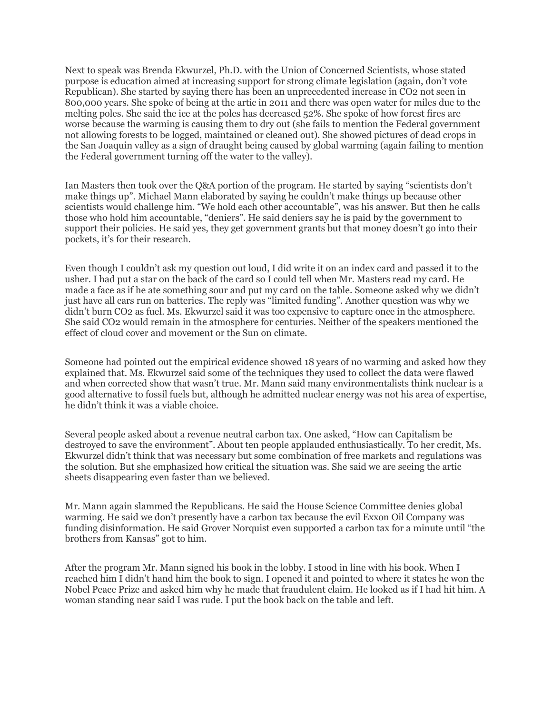Next to speak was Brenda Ekwurzel, Ph.D. with the Union of Concerned Scientists, whose stated purpose is education aimed at increasing support for strong climate legislation (again, don't vote Republican). She started by saying there has been an unprecedented increase in CO2 not seen in 800,000 years. She spoke of being at the artic in 2011 and there was open water for miles due to the melting poles. She said the ice at the poles has decreased 52%. She spoke of how forest fires are worse because the warming is causing them to dry out (she fails to mention the Federal government not allowing forests to be logged, maintained or cleaned out). She showed pictures of dead crops in the San Joaquin valley as a sign of draught being caused by global warming (again failing to mention the Federal government turning off the water to the valley).

Ian Masters then took over the Q&A portion of the program. He started by saying "scientists don't make things up". Michael Mann elaborated by saying he couldn't make things up because other scientists would challenge him. "We hold each other accountable", was his answer. But then he calls those who hold him accountable, "deniers". He said deniers say he is paid by the government to support their policies. He said yes, they get government grants but that money doesn't go into their pockets, it's for their research.

Even though I couldn't ask my question out loud, I did write it on an index card and passed it to the usher. I had put a star on the back of the card so I could tell when Mr. Masters read my card. He made a face as if he ate something sour and put my card on the table. Someone asked why we didn't just have all cars run on batteries. The reply was "limited funding". Another question was why we didn't burn CO2 as fuel. Ms. Ekwurzel said it was too expensive to capture once in the atmosphere. She said CO2 would remain in the atmosphere for centuries. Neither of the speakers mentioned the effect of cloud cover and movement or the Sun on climate.

Someone had pointed out the empirical evidence showed 18 years of no warming and asked how they explained that. Ms. Ekwurzel said some of the techniques they used to collect the data were flawed and when corrected show that wasn't true. Mr. Mann said many environmentalists think nuclear is a good alternative to fossil fuels but, although he admitted nuclear energy was not his area of expertise, he didn't think it was a viable choice.

Several people asked about a revenue neutral carbon tax. One asked, "How can Capitalism be destroyed to save the environment". About ten people applauded enthusiastically. To her credit, Ms. Ekwurzel didn't think that was necessary but some combination of free markets and regulations was the solution. But she emphasized how critical the situation was. She said we are seeing the artic sheets disappearing even faster than we believed.

Mr. Mann again slammed the Republicans. He said the House Science Committee denies global warming. He said we don't presently have a carbon tax because the evil Exxon Oil Company was funding disinformation. He said Grover Norquist even supported a carbon tax for a minute until "the brothers from Kansas" got to him.

After the program Mr. Mann signed his book in the lobby. I stood in line with his book. When I reached him I didn't hand him the book to sign. I opened it and pointed to where it states he won the Nobel Peace Prize and asked him why he made that fraudulent claim. He looked as if I had hit him. A woman standing near said I was rude. I put the book back on the table and left.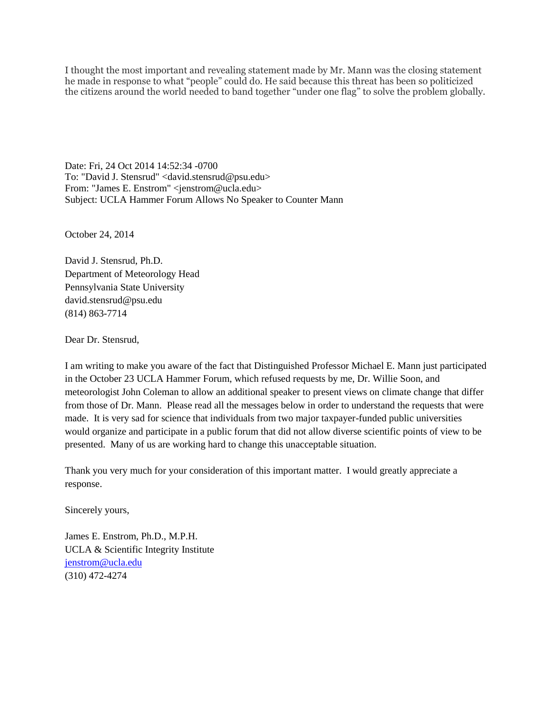I thought the most important and revealing statement made by Mr. Mann was the closing statement he made in response to what "people" could do. He said because this threat has been so politicized the citizens around the world needed to band together "under one flag" to solve the problem globally.

Date: Fri, 24 Oct 2014 14:52:34 -0700 To: "David J. Stensrud" <david.stensrud@psu.edu> From: "James E. Enstrom" <jenstrom@ucla.edu> Subject: UCLA Hammer Forum Allows No Speaker to Counter Mann

October 24, 2014

David J. Stensrud, Ph.D. Department of Meteorology Head Pennsylvania State University david.stensrud@psu.edu (814) 863-7714

Dear Dr. Stensrud,

I am writing to make you aware of the fact that Distinguished Professor Michael E. Mann just participated in the October 23 UCLA Hammer Forum, which refused requests by me, Dr. Willie Soon, and meteorologist John Coleman to allow an additional speaker to present views on climate change that differ from those of Dr. Mann. Please read all the messages below in order to understand the requests that were made. It is very sad for science that individuals from two major taxpayer-funded public universities would organize and participate in a public forum that did not allow diverse scientific points of view to be presented. Many of us are working hard to change this unacceptable situation.

Thank you very much for your consideration of this important matter. I would greatly appreciate a response.

Sincerely yours,

James E. Enstrom, Ph.D., M.P.H. UCLA & Scientific Integrity Institute [jenstrom@ucla.edu](mailto:jenstrom@ucla.edu) (310) 472-4274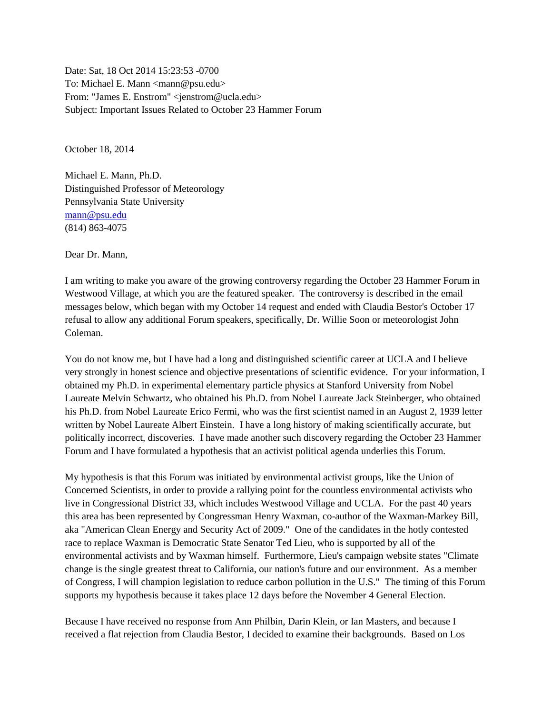Date: Sat, 18 Oct 2014 15:23:53 -0700 To: Michael E. Mann <mann@psu.edu> From: "James E. Enstrom" <jenstrom@ucla.edu> Subject: Important Issues Related to October 23 Hammer Forum

October 18, 2014

Michael E. Mann, Ph.D. Distinguished Professor of Meteorology Pennsylvania State University [mann@psu.edu](mailto:jenstrom@ucla.edu) (814) 863-4075

Dear Dr. Mann,

I am writing to make you aware of the growing controversy regarding the October 23 Hammer Forum in Westwood Village, at which you are the featured speaker. The controversy is described in the email messages below, which began with my October 14 request and ended with Claudia Bestor's October 17 refusal to allow any additional Forum speakers, specifically, Dr. Willie Soon or meteorologist John Coleman.

You do not know me, but I have had a long and distinguished scientific career at UCLA and I believe very strongly in honest science and objective presentations of scientific evidence. For your information, I obtained my Ph.D. in experimental elementary particle physics at Stanford University from Nobel Laureate Melvin Schwartz, who obtained his Ph.D. from Nobel Laureate Jack Steinberger, who obtained his Ph.D. from Nobel Laureate Erico Fermi, who was the first scientist named in an August 2, 1939 letter written by Nobel Laureate Albert Einstein. I have a long history of making scientifically accurate, but politically incorrect, discoveries. I have made another such discovery regarding the October 23 Hammer Forum and I have formulated a hypothesis that an activist political agenda underlies this Forum.

My hypothesis is that this Forum was initiated by environmental activist groups, like the Union of Concerned Scientists, in order to provide a rallying point for the countless environmental activists who live in Congressional District 33, which includes Westwood Village and UCLA. For the past 40 years this area has been represented by Congressman Henry Waxman, co-author of the Waxman-Markey Bill, aka "American Clean Energy and Security Act of 2009." One of the candidates in the hotly contested race to replace Waxman is Democratic State Senator Ted Lieu, who is supported by all of the environmental activists and by Waxman himself. Furthermore, Lieu's campaign website states "Climate change is the single greatest threat to California, our nation's future and our environment. As a member of Congress, I will champion legislation to reduce carbon pollution in the U.S." The timing of this Forum supports my hypothesis because it takes place 12 days before the November 4 General Election.

Because I have received no response from Ann Philbin, Darin Klein, or Ian Masters, and because I received a flat rejection from Claudia Bestor, I decided to examine their backgrounds. Based on Los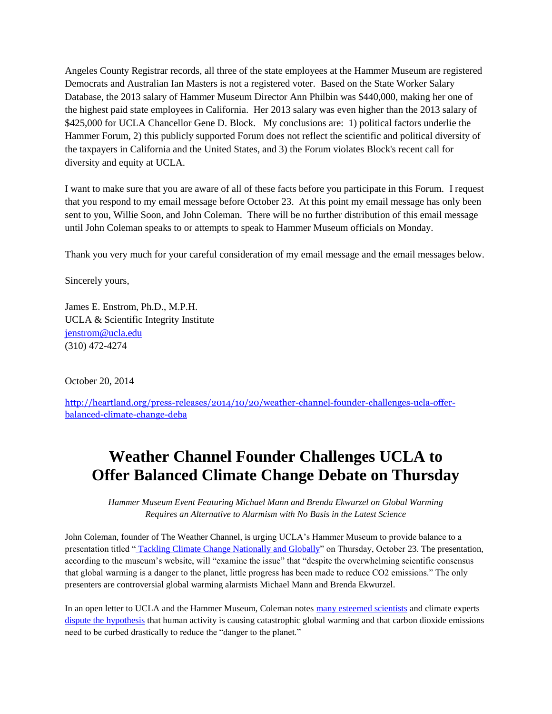Angeles County Registrar records, all three of the state employees at the Hammer Museum are registered Democrats and Australian Ian Masters is not a registered voter. Based on the State Worker Salary Database, the 2013 salary of Hammer Museum Director Ann Philbin was \$440,000, making her one of the highest paid state employees in California. Her 2013 salary was even higher than the 2013 salary of \$425,000 for UCLA Chancellor Gene D. Block. My conclusions are: 1) political factors underlie the Hammer Forum, 2) this publicly supported Forum does not reflect the scientific and political diversity of the taxpayers in California and the United States, and 3) the Forum violates Block's recent call for diversity and equity at UCLA.

I want to make sure that you are aware of all of these facts before you participate in this Forum. I request that you respond to my email message before October 23. At this point my email message has only been sent to you, Willie Soon, and John Coleman. There will be no further distribution of this email message until John Coleman speaks to or attempts to speak to Hammer Museum officials on Monday.

Thank you very much for your careful consideration of my email message and the email messages below.

Sincerely yours,

James E. Enstrom, Ph.D., M.P.H. UCLA & Scientific Integrity Institute [jenstrom@ucla.edu](mailto:jenstrom@ucla.edu) (310) 472-4274

October 20, 2014

[http://heartland.org/press-releases/2014/10/20/weather-channel-founder-challenges-ucla-offer](http://heartland.org/press-releases/2014/10/20/weather-channel-founder-challenges-ucla-offer-balanced-climate-change-deba)[balanced-climate-change-deba](http://heartland.org/press-releases/2014/10/20/weather-channel-founder-challenges-ucla-offer-balanced-climate-change-deba)

## **Weather Channel Founder Challenges UCLA to Offer Balanced Climate Change Debate on Thursday**

*Hammer Museum Event Featuring Michael Mann and Brenda Ekwurzel on Global Warming Requires an Alternative to Alarmism with No Basis in the Latest Science*

John Coleman, founder of The Weather Channel, is urging UCLA's Hammer Museum to provide balance to a presentation titled " [Tackling Climate Change Nationally and Globally"](http://hammer.ucla.edu/programs-events/2014/10/tackling-climate-change-nationally-and-globally/) on Thursday, October 23. The presentation, according to the museum's website, will "examine the issue" that "despite the overwhelming scientific consensus that global warming is a danger to the planet, little progress has been made to reduce CO2 emissions." The only presenters are controversial global warming alarmists Michael Mann and Brenda Ekwurzel.

In an open letter to UCLA and the Hammer Museum, Coleman notes [many esteemed scientists](http://climateconferences.heartland.org/) and climate experts [dispute the hypothesis](http://climatechangereconsidered.org/) that human activity is causing catastrophic global warming and that carbon dioxide emissions need to be curbed drastically to reduce the "danger to the planet."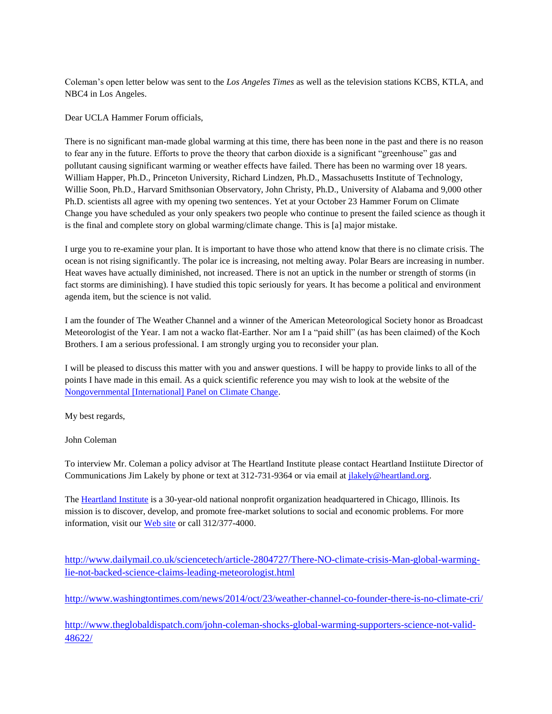Coleman's open letter below was sent to the *Los Angeles Times* as well as the television stations KCBS, KTLA, and NBC4 in Los Angeles.

Dear UCLA Hammer Forum officials,

There is no significant man-made global warming at this time, there has been none in the past and there is no reason to fear any in the future. Efforts to prove the theory that carbon dioxide is a significant "greenhouse" gas and pollutant causing significant warming or weather effects have failed. There has been no warming over 18 years. William Happer, Ph.D., Princeton University, Richard Lindzen, Ph.D., Massachusetts Institute of Technology, Willie Soon, Ph.D., Harvard Smithsonian Observatory, John Christy, Ph.D., University of Alabama and 9,000 other Ph.D. scientists all agree with my opening two sentences. Yet at your October 23 Hammer Forum on Climate Change you have scheduled as your only speakers two people who continue to present the failed science as though it is the final and complete story on global warming/climate change. This is [a] major mistake.

I urge you to re-examine your plan. It is important to have those who attend know that there is no climate crisis. The ocean is not rising significantly. The polar ice is increasing, not melting away. Polar Bears are increasing in number. Heat waves have actually diminished, not increased. There is not an uptick in the number or strength of storms (in fact storms are diminishing). I have studied this topic seriously for years. It has become a political and environment agenda item, but the science is not valid.

I am the founder of The Weather Channel and a winner of the American Meteorological Society honor as Broadcast Meteorologist of the Year. I am not a wacko flat-Earther. Nor am I a "paid shill" (as has been claimed) of the Koch Brothers. I am a serious professional. I am strongly urging you to reconsider your plan.

I will be pleased to discuss this matter with you and answer questions. I will be happy to provide links to all of the points I have made in this email. As a quick scientific reference you may wish to look at the website of the [Nongovernmental \[International\] Panel on Climate Change.](http://climatechangereconsidered.org/)

My best regards,

John Coleman

To interview Mr. Coleman a policy advisor at The Heartland Institute please contact Heartland Instiitute Director of Communications Jim Lakely by phone or text at 312-731-9364 or via email at *jlakely@heartland.org*.

The [Heartland Institute](http://www.heartland.org/) is a 30-year-old national nonprofit organization headquartered in Chicago, Illinois. Its mission is to discover, develop, and promote free-market solutions to social and economic problems. For more information, visit our [Web site](http://www.heartland.org/) or call 312/377-4000.

[http://www.dailymail.co.uk/sciencetech/article-2804727/There-NO-climate-crisis-Man-global-warming](http://www.dailymail.co.uk/sciencetech/article-2804727/There-NO-climate-crisis-Man-global-warming-lie-not-backed-science-claims-leading-meteorologist.html)[lie-not-backed-science-claims-leading-meteorologist.html](http://www.dailymail.co.uk/sciencetech/article-2804727/There-NO-climate-crisis-Man-global-warming-lie-not-backed-science-claims-leading-meteorologist.html)

<http://www.washingtontimes.com/news/2014/oct/23/weather-channel-co-founder-there-is-no-climate-cri/>

[http://www.theglobaldispatch.com/john-coleman-shocks-global-warming-supporters-science-not-valid-](http://www.theglobaldispatch.com/john-coleman-shocks-global-warming-supporters-science-not-valid-48622/)[48622/](http://www.theglobaldispatch.com/john-coleman-shocks-global-warming-supporters-science-not-valid-48622/)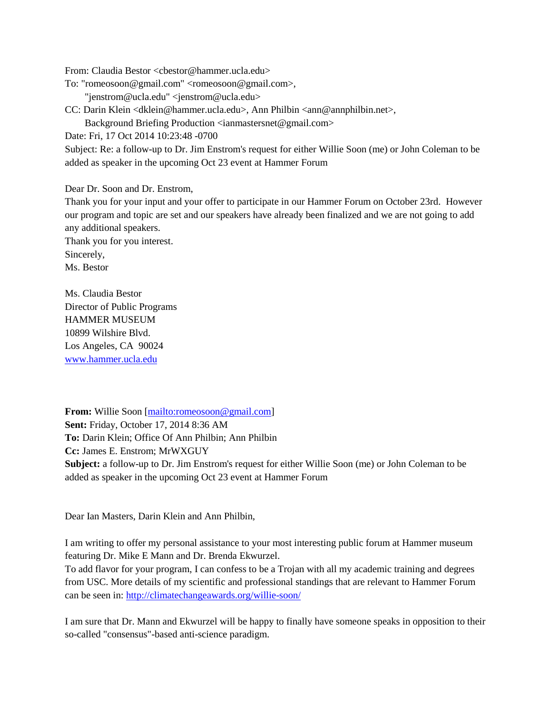From: Claudia Bestor <cbestor@hammer.ucla.edu>

To: "romeosoon@gmail.com" <romeosoon@gmail.com>,

"jenstrom@ucla.edu" <jenstrom@ucla.edu>

CC: Darin Klein <dklein@hammer.ucla.edu>, Ann Philbin <ann@annphilbin.net>,

Background Briefing Production <ianmastersnet@gmail.com>

Date: Fri, 17 Oct 2014 10:23:48 -0700

Subject: Re: a follow-up to Dr. Jim Enstrom's request for either Willie Soon (me) or John Coleman to be added as speaker in the upcoming Oct 23 event at Hammer Forum

Dear Dr. Soon and Dr. Enstrom,

Thank you for your input and your offer to participate in our Hammer Forum on October 23rd. However our program and topic are set and our speakers have already been finalized and we are not going to add any additional speakers.

Thank you for you interest. Sincerely, Ms. Bestor

Ms. Claudia Bestor Director of Public Programs HAMMER MUSEUM 10899 Wilshire Blvd. Los Angeles, CA 90024 [www.hammer.ucla.edu](http://www.hammer.ucla.edu/)

**From:** Willie Soon [\[mailto:romeosoon@gmail.com\]](mailto:romeosoon@gmail.com) **Sent:** Friday, October 17, 2014 8:36 AM **To:** Darin Klein; Office Of Ann Philbin; Ann Philbin **Cc:** James E. Enstrom; MrWXGUY **Subject:** a follow-up to Dr. Jim Enstrom's request for either Willie Soon (me) or John Coleman to be added as speaker in the upcoming Oct 23 event at Hammer Forum

Dear Ian Masters, Darin Klein and Ann Philbin,

I am writing to offer my personal assistance to your most interesting public forum at Hammer museum featuring Dr. Mike E Mann and Dr. Brenda Ekwurzel.

To add flavor for your program, I can confess to be a Trojan with all my academic training and degrees from USC. More details of my scientific and professional standings that are relevant to Hammer Forum can be seen in:<http://climatechangeawards.org/willie-soon/>

I am sure that Dr. Mann and Ekwurzel will be happy to finally have someone speaks in opposition to their so-called "consensus"-based anti-science paradigm.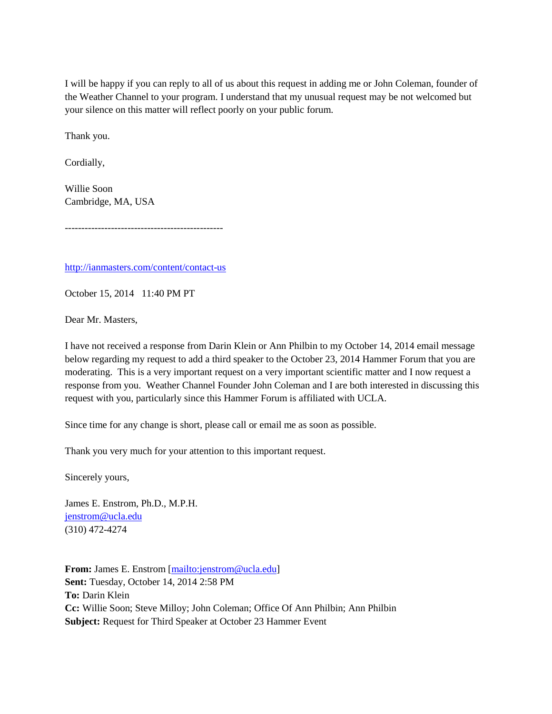I will be happy if you can reply to all of us about this request in adding me or John Coleman, founder of the Weather Channel to your program. I understand that my unusual request may be not welcomed but your silence on this matter will reflect poorly on your public forum.

Thank you.

Cordially,

Willie Soon Cambridge, MA, USA

------------------------------------------------

<http://ianmasters.com/content/contact-us>

October 15, 2014 11:40 PM PT

Dear Mr. Masters,

I have not received a response from Darin Klein or Ann Philbin to my October 14, 2014 email message below regarding my request to add a third speaker to the October 23, 2014 Hammer Forum that you are moderating. This is a very important request on a very important scientific matter and I now request a response from you. Weather Channel Founder John Coleman and I are both interested in discussing this request with you, particularly since this Hammer Forum is affiliated with UCLA.

Since time for any change is short, please call or email me as soon as possible.

Thank you very much for your attention to this important request.

Sincerely yours,

James E. Enstrom, Ph.D., M.P.H. [jenstrom@ucla.edu](mailto:jenstrom@ucla.edu) (310) 472-4274

**From:** James E. Enstrom [\[mailto:jenstrom@ucla.edu\]](mailto:jenstrom@ucla.edu) **Sent:** Tuesday, October 14, 2014 2:58 PM **To:** Darin Klein **Cc:** Willie Soon; Steve Milloy; John Coleman; Office Of Ann Philbin; Ann Philbin **Subject:** Request for Third Speaker at October 23 Hammer Event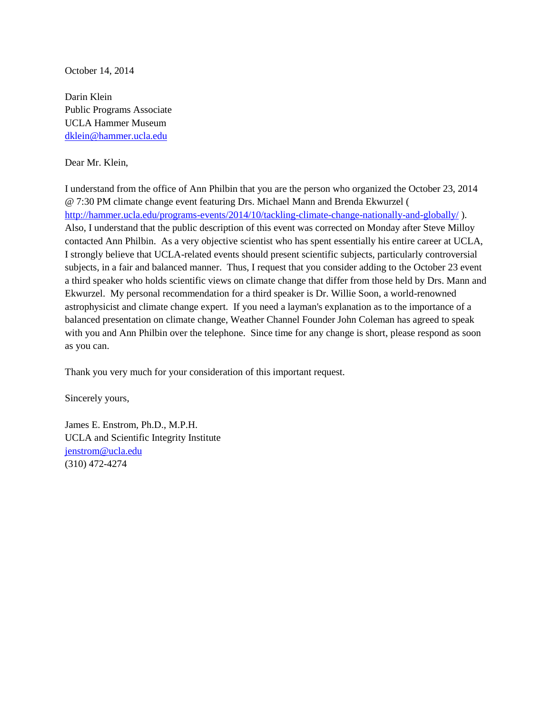October 14, 2014

Darin Klein Public Programs Associate UCLA Hammer Museum [dklein@hammer.ucla.edu](mailto:dklein%40hammer.ucla.edu)

Dear Mr. Klein,

I understand from the office of Ann Philbin that you are the person who organized the October 23, 2014 @ 7:30 PM climate change event featuring Drs. Michael Mann and Brenda Ekwurzel ( <http://hammer.ucla.edu/programs-events/2014/10/tackling-climate-change-nationally-and-globally/> ). Also, I understand that the public description of this event was corrected on Monday after Steve Milloy contacted Ann Philbin. As a very objective scientist who has spent essentially his entire career at UCLA, I strongly believe that UCLA-related events should present scientific subjects, particularly controversial subjects, in a fair and balanced manner. Thus, I request that you consider adding to the October 23 event a third speaker who holds scientific views on climate change that differ from those held by Drs. Mann and Ekwurzel. My personal recommendation for a third speaker is Dr. Willie Soon, a world-renowned astrophysicist and climate change expert. If you need a layman's explanation as to the importance of a balanced presentation on climate change, Weather Channel Founder John Coleman has agreed to speak with you and Ann Philbin over the telephone. Since time for any change is short, please respond as soon as you can.

Thank you very much for your consideration of this important request.

Sincerely yours,

James E. Enstrom, Ph.D., M.P.H. UCLA and Scientific Integrity Institute [jenstrom@ucla.edu](mailto:jenstrom@ucla.edu) (310) 472-4274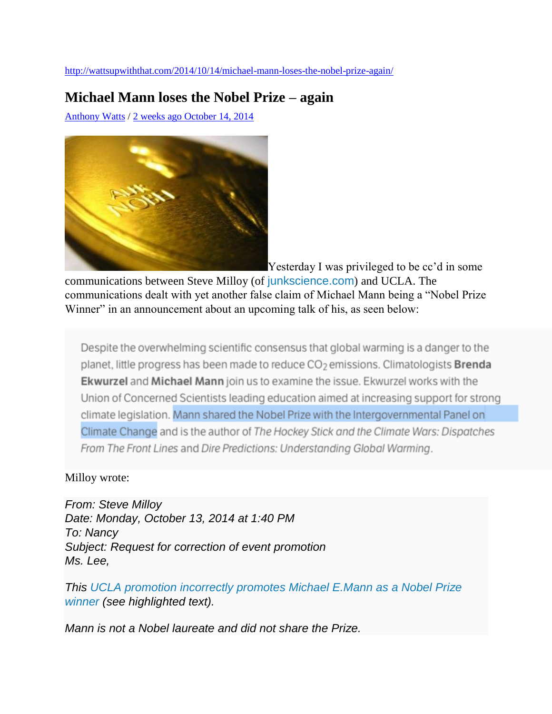<http://wattsupwiththat.com/2014/10/14/michael-mann-loses-the-nobel-prize-again/>

### **Michael Mann loses the Nobel Prize – again**

[Anthony Watts](http://wattsupwiththat.com/author/wattsupwiththat/) / [2 weeks ago October 14, 2014](http://wattsupwiththat.com/2014/10/14/michael-mann-loses-the-nobel-prize-again/)



[Y](https://wattsupwiththat.files.wordpress.com/2014/10/nobelprize1.jpg)esterday I was privileged to be cc'd in some

communications between Steve Milloy (of [junkscience.com](http://junkscience.com/)) and UCLA. The communications dealt with yet another false claim of Michael Mann being a "Nobel Prize Winner" in an announcement about an upcoming talk of his, as seen below:

Despite the overwhelming scientific consensus that global warming is a danger to the planet, little progress has been made to reduce CO<sub>2</sub> emissions. Climatologists **Brenda Ekwurzel** and Michael Mann join us to examine the issue. Ekwurzel works with the Union of Concerned Scientists leading education aimed at increasing support for strong climate legislation. Mann shared the Nobel Prize with the Intergovernmental Panel on Climate Change and is the author of The Hockey Stick and the Climate Wars: Dispatches From The Front Lines and Dire Predictions: Understanding Global Warming.

#### Milloy wrote:

*From: Steve Milloy Date: Monday, October 13, 2014 at 1:40 PM To: Nancy Subject: Request for correction of event promotion Ms. Lee,*

*This [UCLA promotion incorrectly promotes Michael E.Mann as a Nobel Prize](http://hammer.ucla.edu/programs-events/2014/10/tackling-climate-change-nationally-and-globally/)  [winner](http://hammer.ucla.edu/programs-events/2014/10/tackling-climate-change-nationally-and-globally/) (see highlighted text).*

*Mann is not a Nobel laureate and did not share the Prize.*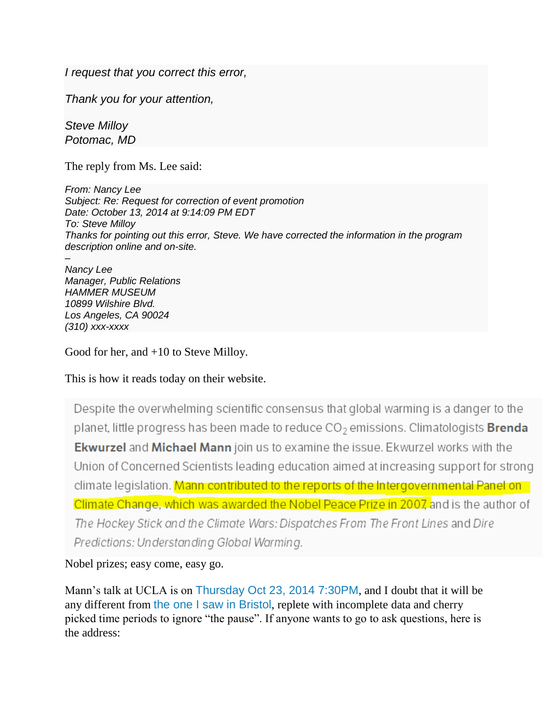*I request that you correct this error,*

*Thank you for your attention,*

*Steve Milloy Potomac, MD*

The reply from Ms. Lee said:

*From: Nancy Lee Subject: Re: Request for correction of event promotion Date: October 13, 2014 at 9:14:09 PM EDT To: Steve Milloy Thanks for pointing out this error, Steve. We have corrected the information in the program description online and on-site. –*

*Nancy Lee Manager, Public Relations HAMMER MUSEUM 10899 Wilshire Blvd. Los Angeles, CA 90024 (310) xxx-xxxx*

Good for her, and +10 to Steve Milloy.

This is how it reads today on their website.

Despite the overwhelming scientific consensus that global warming is a danger to the planet, little progress has been made to reduce CO<sub>2</sub> emissions. Climatologists **Brenda** Ekwurzel and Michael Mann join us to examine the issue. Ekwurzel works with the Union of Concerned Scientists leading education aimed at increasing support for strong climate legislation. Mann contributed to the reports of the Intergovernmental Panel on Climate Change, which was awarded the Nobel Peace Prize in 2007, and is the author of The Hockey Stick and the Climate Wars: Dispatches From The Front Lines and Dire Predictions: Understanding Global Warming.

Nobel prizes; easy come, easy go.

Mann's talk at UCLA is on [Thursday Oct 23, 2014 7:30PM](http://hammer.ucla.edu/programs-events/2014/10/tackling-climate-change-nationally-and-globally/), and I doubt that it will be any different from [the one I saw in Bristol](http://wattsupwiththat.com/2014/09/27/slides-from-the-michael-mann-lecture-at-cabot-institute-in-bristol/), replete with incomplete data and cherry picked time periods to ignore "the pause". If anyone wants to go to ask questions, here is the address: